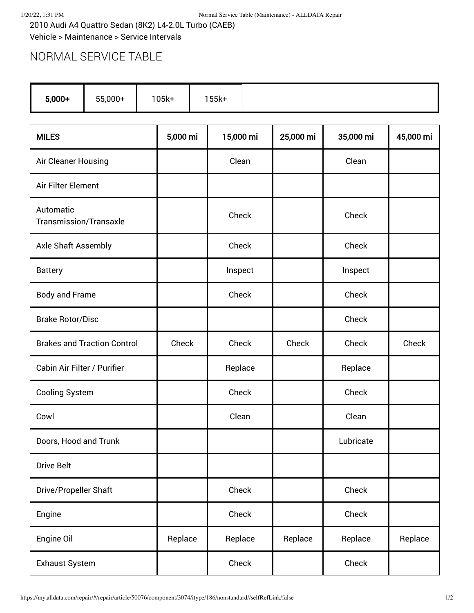2010 Audi A4 Quattro Sedan (8K2) L4-2.0L Turbo (CAEB) Vehicle > Maintenance > Service Intervals

## NORMAL SERVICE TABLE

| $5,000+$ | 155k+ |
|----------|-------|
|----------|-------|

| <b>MILES</b>                               | 5,000 mi | 15,000 mi | 25,000 mi | 35,000 mi | 45,000 mi |
|--------------------------------------------|----------|-----------|-----------|-----------|-----------|
| Air Cleaner Housing                        |          | Clean     |           | Clean     |           |
| Air Filter Element                         |          |           |           |           |           |
| Automatic<br><b>Transmission/Transaxle</b> |          | Check     |           | Check     |           |
| <b>Axle Shaft Assembly</b>                 |          | Check     |           | Check     |           |
| <b>Battery</b>                             |          | Inspect   |           | Inspect   |           |
| <b>Body and Frame</b>                      |          | Check     |           | Check     |           |
| <b>Brake Rotor/Disc</b>                    |          |           |           | Check     |           |
| <b>Brakes and Traction Control</b>         | Check    | Check     | Check     | Check     | Check     |
| Cabin Air Filter / Purifier                |          | Replace   |           | Replace   |           |
| <b>Cooling System</b>                      |          | Check     |           | Check     |           |
| Cowl                                       |          | Clean     |           | Clean     |           |
| Doors, Hood and Trunk                      |          |           |           | Lubricate |           |
| <b>Drive Belt</b>                          |          |           |           |           |           |
| Drive/Propeller Shaft                      |          | Check     |           | Check     |           |
| Engine                                     |          | Check     |           | Check     |           |
| Engine Oil                                 | Replace  | Replace   | Replace   | Replace   | Replace   |
| <b>Exhaust System</b>                      |          | Check     |           | Check     |           |